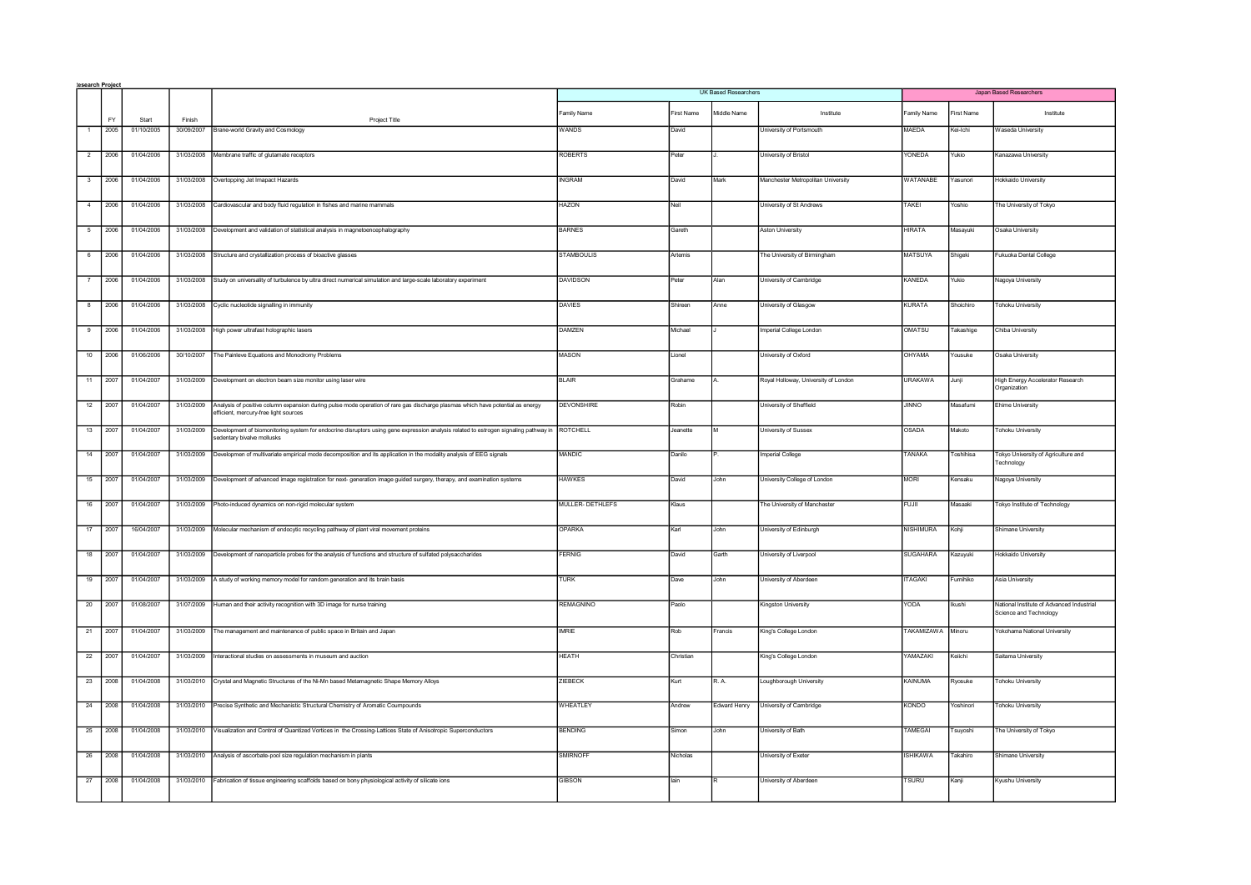|                         | esearch Projec |            |            |                                                                                                                                                                            | UK Based Researchers |                   |              |                                      |                   |            | Japan Based Researchers                                             |  |
|-------------------------|----------------|------------|------------|----------------------------------------------------------------------------------------------------------------------------------------------------------------------------|----------------------|-------------------|--------------|--------------------------------------|-------------------|------------|---------------------------------------------------------------------|--|
|                         |                |            |            |                                                                                                                                                                            |                      |                   |              |                                      |                   |            |                                                                     |  |
|                         | FY             | Start      | Finish     | Project Title                                                                                                                                                              | Family Name          | <b>First Name</b> | Middle Name  | Institute                            | Family Name       | First Name | Institute                                                           |  |
| $\overline{1}$          | 2005           | 01/10/2005 | 30/09/2007 | Brane-world Gravity and Cosmology                                                                                                                                          | WANDS                | David             |              | University of Portsmouth             | MAEDA             | Kei-Ichi   | Waseda University                                                   |  |
| $\overline{2}$          | 2006           | 01/04/2006 |            | 31/03/2008 Membrane traffic of glutamate receptors                                                                                                                         | <b>ROBERTS</b>       | Peter             |              | University of Bristol                | YONEDA            | Yukio      | Kanazawa University                                                 |  |
| $\overline{\mathbf{3}}$ | 2006           | 01/04/2006 |            | 31/03/2008 Overtopping Jet Imapact Hazards                                                                                                                                 | <b>INGRAM</b>        | David             | Mark         | Manchester Metropolitan University   | WATANABE          | Yasunori   | Hokkaido University                                                 |  |
| $\overline{4}$          | 2006           | 01/04/2006 |            | 31/03/2008 Cardiovascular and body fluid regulation in fishes and marine mammals                                                                                           | HAZON                | Neil              |              | University of St Andrews             | TAKEI             | 'oshio     | The University of Tokyo                                             |  |
| -5                      | 2006           | 01/04/2006 |            | 31/03/2008 Development and validation of statistical analysis in magnetoencephalography                                                                                    | <b>BARNES</b>        | Gareth            |              | Aston University                     | <b>HIRATA</b>     | Masayuki   | Osaka University                                                    |  |
| 6                       | 2006           | 01/04/2006 |            | 31/03/2008 Structure and crystallization process of bioactive glasses                                                                                                      | <b>STAMBOULIS</b>    | Artemis           |              | The University of Birmingham         | MATSUYA           | Shigeki    | Fukuoka Dental College                                              |  |
|                         | 2006           | 01/04/2006 | 31/03/2008 | Study on universality of turbulence by ultra direct numerical simulation and large-scale laboratory experiment                                                             | <b>DAVIDSON</b>      | Peter             | Nan          | University of Cambridge              | KANEDA            | Yukio      | Nagoya University                                                   |  |
| 8                       | 2006           | 01/04/2006 | 31/03/2008 | Cyclic nucleotide signalling in immunity                                                                                                                                   | <b>DAVIES</b>        | Shireen           | Anne         | University of Glasgow                | KURATA            | Shoichiro  | <b>Tohoku University</b>                                            |  |
| -9                      | 2006           | 01/04/2006 |            | 31/03/2008 High power ultrafast holographic lasers                                                                                                                         | DAMZEN               | Michael           |              | Imperial College London              | OMATSU            | Takashige  | Chiba University                                                    |  |
| 10                      | 2006           | 01/06/2006 | 30/10/2007 | The Painleve Equations and Monodromy Problems                                                                                                                              | <b>MASON</b>         | Lionel            |              | University of Oxford                 | OHYAMA            | Yousuke    | Osaka University                                                    |  |
| 11                      | 2007           | 01/04/2007 | 31/03/2009 | Development on electron beam size monitor using laser wire                                                                                                                 | <b>BLAIR</b>         | Grahame           |              | Royal Holloway, University of London | <b>URAKAWA</b>    | Junji      | High Energy Accelerator Research<br>Organization                    |  |
| 12                      | 2007           | 01/04/2007 | 31/03/2009 | Analysis of positive column expansion during pulse mode operation of rare gas discharge plasmas which have potential as energy<br>fficient, mercury-free light sources     | <b>DEVONSHIRE</b>    | Robin             |              | University of Sheffield              | <b>ONNIL</b>      | Masafumi   | <b>Fhime University</b>                                             |  |
| 13                      | 2007           | 01/04/2007 | 31/03/2009 | Development of biomonitoring system for endocrine disruptors using gene expression analysis related to estrogen signaling pathway in ROTCHELL<br>edentary bivalye mollusks |                      | Jeanette          |              | University of Sussex                 | OSADA             | Makoto     | <b>Tohoku University</b>                                            |  |
| 14                      | 2007           | 01/04/2007 |            | 31/03/2009 Developmen of multivariate empirical mode decomposition and its application in the modality analysis of EEG signals                                             | MANDIC               | Danilo            |              | <b>Imperial College</b>              | TANAKA            | Toshihisa  | Tokyo University of Agriculture and<br>Technology                   |  |
| 15                      | 2007           | 01/04/2007 |            | 31/03/2009 Development of advanced image registration for next- generation image guided surgery, therapy, and examination systems                                          | HAWKES               | David             | John         | University College of London         | MORI              | Kensaku    | Nagoya University                                                   |  |
| 16                      | 2007           | 01/04/2007 |            | 31/03/2009 Photo-induced dynamics on non-rigid molecular system                                                                                                            | MULLER-DETHLEFS      | Klaus             |              | The University of Manchester         | FUJII             | Masaaki    | Tokyo Institute of Technology                                       |  |
| 17                      | 2007           | 16/04/2007 |            | 31/03/2009 Molecular mechanism of endocytic recycling pathway of plant viral movement proteins                                                                             | OPARKA               | Karl              | John         | University of Edinburgh              | NISHIMURA         | Kohji      | Shimane University                                                  |  |
| 18                      | 2007           | 01/04/2007 | 31/03/2009 | Development of nanoparticle probes for the analysis of functions and structure of sulfated polysaccharides                                                                 | FERNIG               | David             | Garth        | University of Liverpool              | <b>SUGAHARA</b>   | Kazuyuki   | Hokkaido University                                                 |  |
| 19                      | 2007           | 01/04/2007 |            | 31/03/2009 A study of working memory model for random generation and its brain basis                                                                                       | <b>TURK</b>          | Dave              | John         | University of Aberdeen               | TAGAKI            | umihiko    | Asia University                                                     |  |
| 20                      | 2007           | 01/08/2007 |            | 31/07/2009 Human and their activity recognition with 3D image for nurse training                                                                                           | <b>REMAGNINO</b>     | Paolo             |              | Kingston University                  | YODA              | Ikushi     | National Institute of Advanced Industrial<br>Science and Technology |  |
| 21                      | 2007           | 01/04/2007 |            | 31/03/2009 The management and maintenance of public space in Britain and Japan                                                                                             | <b>IMRIE</b>         | Rob               | Francis      | King's College London                | TAKAMIZAWA Minoru |            | Yokohama National University                                        |  |
|                         | 22 2007        | 01/04/2007 |            | 31/03/2009 Interactional studies on assessments in museum and auction                                                                                                      | <b>HEATH</b>         | Christian         |              | King's College London                | YAMAZAKI          | Keiichi    | Saitama University                                                  |  |
| 23                      | 2008           | 01/04/2008 |            | 31/03/2010 Crystal and Magnetic Structures of the Ni-Mn based Metamagnetic Shape Memory Alloys                                                                             | ZIEBECK              | Kurt              | R. A.        | Loughborough University              | KAINUMA           | Ryosuke    | <b>Tohoku University</b>                                            |  |
| 24                      | 2008           | 01/04/2008 |            | 31/03/2010 Precise Synthetic and Mechanistic Structural Chemistry of Aromatic Coumpounds                                                                                   | WHEATLEY             | Andrew            | Edward Henry | University of Cambridge              | KONDO             | 'oshinori  | <b>Tohoku University</b>                                            |  |
| 25                      | 2008           | 01/04/2008 |            | 31/03/2010 Visualization and Control of Quantized Vortices in the Crossing-Lattices State of Anisotropic Superconductors                                                   | <b>BENDING</b>       | Simon             | John         | University of Bath                   | TAMEGAI           | Tsuyoshi   | The University of Tokyo                                             |  |
| 26                      | 2008           | 01/04/2008 |            | 31/03/2010 Analysis of ascorbate-pool size regulation mechanism in plants                                                                                                  | <b>SMIRNOFF</b>      | Nicholas          |              | University of Exeter                 | <b>ISHIKAWA</b>   | Takahiro   | Shimane University                                                  |  |
| 27                      | 2008           | 01/04/2008 |            | 31/03/2010 Fabrication of tissue engineering scaffolds based on bony physiological activity of silicate ions                                                               | <b>GIBSON</b>        | lain              |              | University of Aberdeen               | <b>TSURU</b>      | Kanji      | Kyushu University                                                   |  |
|                         |                |            |            |                                                                                                                                                                            |                      |                   |              |                                      |                   |            |                                                                     |  |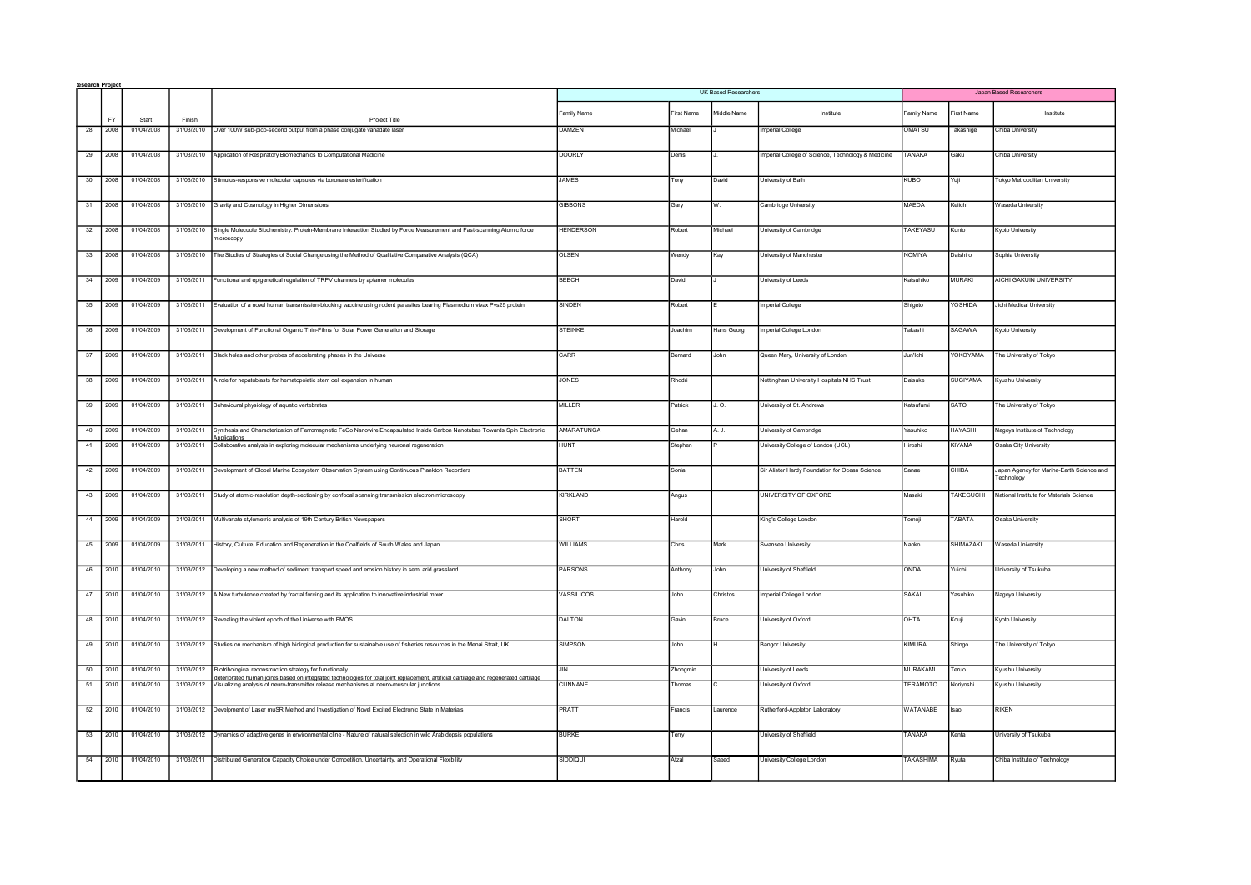|    | esearch Projec |            |            |                                                                                                                                                                                                                                   |                      |               |              |                                                    |                  |                         |                                                         |  |
|----|----------------|------------|------------|-----------------------------------------------------------------------------------------------------------------------------------------------------------------------------------------------------------------------------------|----------------------|---------------|--------------|----------------------------------------------------|------------------|-------------------------|---------------------------------------------------------|--|
|    |                |            |            |                                                                                                                                                                                                                                   | UK Based Researchers |               |              |                                                    |                  | Japan Based Researchers |                                                         |  |
|    | <b>FY</b>      | Start      | Finish     | Project Title                                                                                                                                                                                                                     | Family Name          | First Name    | Middle Name  | Institute                                          | Family Name      | First Name              | Institute                                               |  |
| 28 | 2008           | 01/04/2008 | 31/03/2010 | Over 100W sub-pico-second output from a phase conjugate vanadate laser                                                                                                                                                            | DAMZEN               | Michael       |              | Imperial College                                   | OMATSU           | akashige                | Chiba University                                        |  |
| 29 | 2008           | 01/04/2008 | 31/03/2010 | Application of Respiratory Biomechanics to Computational Madicine                                                                                                                                                                 | <b>DOORLY</b>        | Denis         |              | Imperial College of Science, Technology & Medicine | TANAKA           | Gaku                    | Chiba University                                        |  |
| 30 | 2008           | 01/04/2008 |            | 31/03/2010 Stimulus-responsive molecular capsules via boronate esterification                                                                                                                                                     | <b>JAMES</b>         | Tony          | David        | University of Bath                                 | <b>KUBO</b>      | Yuji                    | Tokyo Metropolitan University                           |  |
| 31 | 2008           | 01/04/2008 |            | 31/03/2010 Gravity and Cosmology in Higher Dimensions                                                                                                                                                                             | GIBBONS              | Gary          |              | Cambridge University                               | MAEDA            | Keiichi                 | Waseda University                                       |  |
| 32 | 2008           | 01/04/2008 | 31/03/2010 | Single Molecuole Biochemistry: Protein-Membrane Interaction Studied by Force Measurement and Fast-scanning Atomic force<br>microscopy                                                                                             | <b>HENDERSON</b>     | Robert        | Michael      | University of Cambridge                            | TAKEYASU         | Kunio                   | Kyoto University                                        |  |
|    | 33 2008        | 01/04/2008 | 31/03/2010 | The Studies of Strategies of Social Change using the Method of Qualitative Comparative Analysis (QCA)                                                                                                                             | <b>OLSEN</b>         | Wendy         |              | University of Manchester                           | NOMIYA           | Daishiro                | Sophia University                                       |  |
| 34 | 2009           | 01/04/2009 | 31/03/2011 | Functional and epigenetical regulation of TRPV channels by aptamer molecules                                                                                                                                                      | <b>BEECH</b>         | David         |              | University of Leeds                                | Katsuhiko        | <b>MURAKI</b>           | AICHI GAKUIN UNIVERSITY                                 |  |
| 35 | 2009           | 01/04/2009 | 31/03/2011 | Evaluation of a novel human transmission-blocking vaccine using rodent parasites bearing Plasmodium vivax Pvs25 protein                                                                                                           | SINDEN               | Robert        |              | Imperial College                                   | Shigeto          | YOSHIDA                 | Jichi Medical University                                |  |
| 36 | 2009           | 01/04/2009 | 31/03/2011 | Development of Functional Organic Thin-Films for Solar Power Generation and Storage                                                                                                                                               | <b>STEINKE</b>       | Joachim       | lans Georg   | Imperial College London                            | Takashi          | <b>SAGAWA</b>           | Kyoto University                                        |  |
| 37 | 2009           | 01/04/2009 |            | 31/03/2011 Black holes and other probes of accelerating phases in the Universe                                                                                                                                                    | CARR                 | Bernard       | John         | Queen Mary, University of London                   | lun'lchi         | YOKOYAMA                | The University of Tokyo                                 |  |
|    | 38 2009        | 01/04/2009 |            | 31/03/2011 A role for hepatoblasts for hematopoietic stem cell expansion in human                                                                                                                                                 | <b>JONES</b>         | Rhodri        |              | Nottingham University Hospitals NHS Trust          | Daisuke          | <b>SUGIYAMA</b>         | Kyushu University                                       |  |
| 39 | 2009           | 01/04/2009 | 31/03/2011 | Behavioural physiology of aquatic vertebrates                                                                                                                                                                                     | <b>MILLER</b>        | Patrick       | J. O.        | University of St. Andrews                          | Katsufumi        | <b>SATO</b>             | The University of Tokyo                                 |  |
| 40 | 2009           | 01/04/2009 | 31/03/2011 | Synthesis and Characterization of Ferromagnetic FeCo Nanowire Encapsulated Inside Carbon Nanotubes Towards Spin Electronic                                                                                                        | <b>AMARATUNGA</b>    | Gehan         | A. J.        | University of Cambridge                            | Yasuhiko         | <b>HAYASHI</b>          | Nagoya Institute of Technology                          |  |
| 41 | 2009           | 01/04/2009 | 31/03/2011 | Applications<br>Collaborative analysis in exploring molecular mechanisms underlying neuronal regeneration                                                                                                                         | <b>HUNT</b>          | Stephen       |              | University College of London (UCL)                 | Hiroshi          | KIYAMA                  | Osaka City University                                   |  |
| 42 | 2009           | 01/04/2009 | 31/03/2011 | Development of Global Marine Ecosystem Observation System using Continuous Plankton Recorders                                                                                                                                     | <b>BATTEN</b>        | Sonia         |              | Sir Alister Hardy Foundation for Ocean Science     | Sanae            | CHIBA                   | Japan Agency for Marine-Earth Science and<br>Technology |  |
| 43 | 2009           | 01/04/2009 |            | 31/03/2011 Study of atomic-resolution depth-sectioning by confocal scanning transmission electron microscopy                                                                                                                      | KIRKLAND             | Angus         |              | UNIVERSITY OF OXFORD                               | Masaki           | TAKEGUCHI               | National Institute for Materials Science                |  |
|    | 44 2009        | 01/04/2009 |            | 31/03/2011 Multivariate stylometric analysis of 19th Century British Newspapers                                                                                                                                                   | <b>SHORT</b>         | Harold        |              | King's College London                              | Tomoji           | TABATA                  | Osaka University                                        |  |
| 45 | 2009           | 01/04/2009 | 31/03/2011 | History, Culture, Education and Regeneration in the Coalfields of South Wales and Japan                                                                                                                                           | WILLIAMS             | Chris         | Mark         | Swansea University                                 | Naoko            | SHIMAZAKI               | Waseda University                                       |  |
| 46 | 2010           | 01/04/2010 |            | 31/03/2012 Developing a new method of sediment transport speed and erosion history in semi arid grassland                                                                                                                         | <b>PARSONS</b>       | Anthony       | John         | University of Sheffield                            | ONDA             | Yuichi                  | University of Tsukuba                                   |  |
| 47 | 2010           | 01/04/2010 |            | 31/03/2012 A New turbulence created by fractal forcing and its application to innovative industrial mixer                                                                                                                         | VASSILICOS           | John          | Christos     | Imperial College London                            | SAKAI            | Yasuhiko                | Nagoya University                                       |  |
| 48 | 2010           | 01/04/2010 |            | 31/03/2012 Revealing the violent epoch of the Universe with FMOS                                                                                                                                                                  | DALTON               | Gavin         | <b>Bruce</b> | University of Oxford                               | OHTA             | Kouji                   | Kvoto University                                        |  |
| 49 | 2010           | 01/04/2010 |            | 31/03/2012 Studies on mechanism of high biological production for sustainable use of fisheries resources in the Menai Strait, UK.                                                                                                 | SIMPSON              | John          |              | <b>Bangor University</b>                           | KIMURA           | Shingo                  | The University of Tokyo                                 |  |
| 50 | 2010           | 01/04/2010 | 31/03/2012 | Biotribological reconstruction strategy for functionally                                                                                                                                                                          | <b>JIN</b>           | Zhongmin      |              | Jniversity of Leeds                                | <b>MURAKAMI</b>  | Teruo                   | Kyushu University                                       |  |
| 51 | 2010           | 01/04/2010 | 31/03/2012 | steriorated human ioints based on integrated technologies for total ioint replacement, artificial cartilage and regenerated cartilage<br>Visualizing analysis of neuro-transmitter release mechanisms at neuro-muscular junctions | CUNNANE              | <b>Thomas</b> |              | University of Oxford                               | TERAMOTO         | Voriyoshi               | Kvushu Universitv                                       |  |
| 52 | 2010           | 01/04/2010 |            | 31/03/2012 Develpment of Laser muSR Method and Investigation of Novel Excited Electronic State in Materials                                                                                                                       | PRATT                | Francis       | aurence      | Rutherford-Appleton Laboratory                     | WATANABE         | Isao                    | <b>RIKEN</b>                                            |  |
| 53 | 2010           | 01/04/2010 |            | 31/03/2012 Dynamics of adaptive genes in environmental cline - Nature of natural selection in wild Arabidopsis populations                                                                                                        | <b>BURKE</b>         | Terry         |              | University of Sheffield                            | TANAKA           | Kenta                   | University of Tsukuba                                   |  |
|    | 54 2010        | 01/04/2010 |            | 31/03/2011 Distributed Generation Capacity Choice under Competition, Uncertainty, and Operational Flexibility                                                                                                                     | SIDDIQUI             | Afzal         | Saeed        | University College London                          | <b>TAKASHIMA</b> | Ryuta                   | Chiba Institute of Technology                           |  |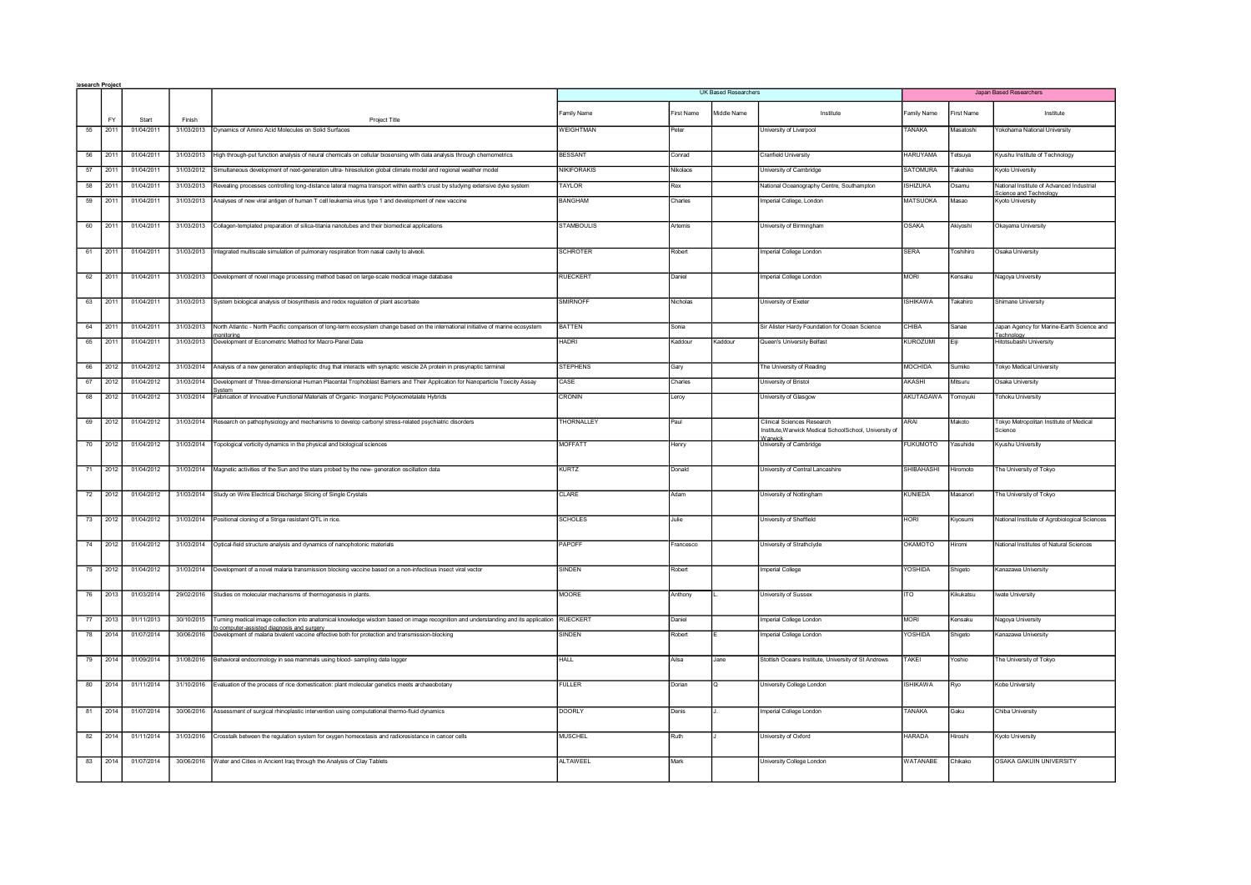|    | <u>esearch Projec</u> |            |            |                                                                                                                                                                               | UK Based Researchers<br>Japan Based Researchers |            |             |                                                                                      |                 |                  |                                                    |
|----|-----------------------|------------|------------|-------------------------------------------------------------------------------------------------------------------------------------------------------------------------------|-------------------------------------------------|------------|-------------|--------------------------------------------------------------------------------------|-----------------|------------------|----------------------------------------------------|
|    |                       |            |            |                                                                                                                                                                               |                                                 |            |             |                                                                                      |                 |                  |                                                    |
|    | FY                    | Start      | Finish     | Project Title                                                                                                                                                                 | amily Name                                      | First Name | Middle Name | Institute                                                                            | Family Name     | First Name       | Institute                                          |
| 55 | 2011                  | 01/04/2011 |            | 31/03/2013 Dynamics of Amino Acid Molecules on Solid Surfaces                                                                                                                 | WEIGHTMAN                                       | Peter      |             | University of Liverpool                                                              | TANAKA          | Masatoshi        | Yokohama National University                       |
| 56 | 2011                  | 01/04/2011 | 31/03/2013 | High through-put function analysis of neural chemicals on cellular biosensing with data analysis through chemometrics                                                         | <b>BESSANT</b>                                  | Conrad     |             | Cranfield University                                                                 | <b>HARUYAMA</b> | retsuya          | Kyushu Institute of Technology                     |
| 57 | 2011                  | 01/04/2011 | 31/03/2012 | Simultaneous development of next-generation ultra- hiresolution global climate model and regional weather model                                                               | NIKIFORAKIS                                     | Nikolaos   |             | University of Cambridge                                                              | <b>SATOMURA</b> | Takehiko         | Kyoto University                                   |
| 58 | 2011                  | 01/04/2011 | 31/03/2013 | Revealing processes controlling long-distance lateral magma transport within earth's crust by studying extensive dyke system                                                  | <b>TAYLOR</b>                                   | Rex        |             | National Oceanography Centre, Southampton                                            | <b>SHIZUKA</b>  | Osamu            | National Institute of Advanced Industrial          |
| 59 | 2011                  | 01/04/2011 | 31/03/2013 | Analyses of new viral antigen of human T cell leukemia virus type 1 and development of new vaccine                                                                            | <b>BANGHAM</b>                                  | Charles    |             | Imperial College, London                                                             | <b>MATSUOKA</b> | Masao            | Science and Technolog<br>Kyoto University          |
|    |                       |            |            |                                                                                                                                                                               |                                                 |            |             |                                                                                      |                 |                  |                                                    |
| 60 | 2011                  | 01/04/2011 |            | 31/03/2013 Collagen-templated preparation of silica-titania nanotubes and their biomedical applications                                                                       | <b>STAMBOULIS</b>                               | Artemis    |             | University of Birmingham                                                             | <b>OSAKA</b>    | Akiyoshi         | Okayama University                                 |
| 61 | 2011                  | 01/04/2011 |            | 31/03/2013 Integrated multiscale simulation of pulmonary respiration from nasal cavity to alveoli.                                                                            | <b>SCHROTER</b>                                 | Robert     |             | Imperial College London                                                              | <b>SERA</b>     | <b>Toshihiro</b> | Osaka University                                   |
| 62 | 2011                  | 01/04/2011 |            | 31/03/2013 Development of novel image processing method based on large-scale medical image database                                                                           | <b>RUECKERT</b>                                 | Daniel     |             | Imperial College London                                                              | <b>MORI</b>     | Kensaku          | Nagoya University                                  |
| 63 | 2011                  | 01/04/2011 |            | 31/03/2013 System biological analysis of biosynthesis and redox regulation of plant ascorbate                                                                                 | <b>SMIRNOFF</b>                                 | Nicholas   |             | University of Exeter                                                                 | <b>ISHIKAWA</b> | Takahiro         | Shimane University                                 |
| 64 | 2011                  | 01/04/2011 | 31/03/2013 | North Atlantic - North Pacific comparison of long-term ecosystem change based on the international initiative of marine ecosystem                                             | <b>BATTEN</b>                                   | Sonia      |             | Sir Alister Hardy Foundation for Ocean Science                                       | CHIBA           | Sanae            | Japan Agency for Marine-Earth Science and          |
| 65 | 2011                  | 01/04/2011 | 31/03/2013 | monitoring<br>Development of Econometric Method for Macro-Panel Data                                                                                                          | HADRI                                           | Kaddour    | Kaddour     | Queen's University Belfast                                                           | <b>KUROZUMI</b> |                  | Technology<br>Hitotsubashi University              |
| 66 | 2012                  | 01/04/2012 | 31/03/2014 | Analysis of a new generation antiepileptic drug that interacts with synaptic vesicle 2A protein in presynaptic tarminal                                                       | <b>STEPHENS</b>                                 | Gary       |             | The University of Reading                                                            | <b>MOCHIDA</b>  | Sumiko           | Tokyo Medical University                           |
| 67 | 2012                  | 01/04/2012 | 31/03/2014 | Development of Three-dimensional Human Placental Trophoblast Barriers and Their Application for Nanoparticle Toxicity Assay                                                   | CASE                                            | Charles    |             | University of Bristol                                                                | AKASHI          | <b>Aitsuru</b>   | Osaka University                                   |
| 68 | 2012                  | 01/04/2012 | 31/03/2014 | Fabrication of Innovative Functional Materials of Organic- Inorganic Polyoxometalate Hybrids                                                                                  | CRONIN                                          | Leroy      |             | University of Glasgow                                                                | AKUTAGAWA       | Tomoyuki         | <b>Tohoku University</b>                           |
| 69 | 2012                  | 01/04/2012 |            | 31/03/2014 Research on pathophysiology and mechanisms to develop carbonyl stress-related psychiatric disorders                                                                | THORNALLEY                                      | Paul       |             | Clinical Sciences Research<br>Institute, Warwick Medical SchoolSchool, University of | ARAI            | Makoto           | Tokyo Metropolitan Institute of Medical<br>Science |
| 70 | 2012                  | 01/04/2012 |            | 31/03/2014 Topological vorticity dynamics in the physical and biological sciences                                                                                             | <b>MOFFATT</b>                                  | Henry      |             | Warwick<br>University of Cambridge                                                   | <b>FUKUMOTO</b> | Yasuhide         | Kyushu University                                  |
| 71 | 2012                  | 01/04/2012 |            | 31/03/2014 Magnetic activities of the Sun and the stars probed by the new- generation oscillation data                                                                        | KURTZ                                           | Donald     |             | University of Central Lancashire                                                     | SHIBAHASHI      | Hiromoto         | The University of Tokyo                            |
| 72 | 2012                  | 01/04/2012 |            | 31/03/2014 Study on Wire Electrical Discharge Slicing of Single Crystals                                                                                                      | CLARE                                           | Adam       |             | University of Nottingham                                                             | KUNIEDA         | Masanori         | The University of Tokyo                            |
|    | 73 2012               | 01/04/2012 |            | 31/03/2014 Positional cloning of a Striga resistant QTL in rice.                                                                                                              | <b>SCHOLES</b>                                  | Julie      |             | University of Sheffield                                                              | HORI            | Kiyosumi         | National Institute of Agrobiological Sciences      |
| 74 | 2012                  | 01/04/2012 | 31/03/2014 | Optical-field structure analysis and dynamics of nanophotonic materials                                                                                                       | <b>APOFF</b>                                    | rancesco   |             | University of Strathclyde                                                            | OKAMOTO         | Hiromi           | National Institutes of Natural Sciences            |
| 75 | 2012                  | 01/04/2012 |            | 31/03/2014 Development of a novel malaria transmission blocking vaccine based on a non-infectious insect viral vector                                                         | SINDEN                                          | Robert     |             | Imperial College                                                                     | YOSHIDA         | Shigeto          | Kanazawa University                                |
| 76 | 2013                  | 01/03/2014 |            | 29/02/2016 Studies on molecular mechanisms of thermogenesis in plants.                                                                                                        | <b>MOORE</b>                                    | Anthony    |             | University of Sussex                                                                 | <b>ITO</b>      | Kikukatsu        | Iwate University                                   |
| 77 | 2013                  | 01/11/2013 | 30/10/2015 | Turning medical image collection into anatomical knowledge wisdom based on image recognition and understanding and its application<br>computer-assisted diagnosis and surgery | <b>RUECKERT</b>                                 | Daniel     |             | Imperial College London                                                              | MORI            | <b>Censaku</b>   | Nagoya University                                  |
| 78 | 2014                  | 01/07/2014 | 30/06/2016 | Development of malaria bivalent vaccine effective both for protection and transmission-blocking                                                                               | <b>SINDEN</b>                                   | Robert     |             | Imperial College London                                                              | YOSHIDA         | Shigeto          | Kanazawa University                                |
| 79 | 2014                  | 01/09/2014 |            | 31/08/2016 Behavioral endocrinology in sea mammals using blood- sampling data logger                                                                                          | HALL                                            | Ailsa      | Jane        | Stottish Oceans Institute, University of St Andrews                                  | <b>TAKEI</b>    | Yoshio           | The University of Tokyo                            |
| 80 | 2014                  | 01/11/2014 |            | 31/10/2016 Evaluation of the process of rice domestication: plant molecular genetics meets archaeobotany                                                                      | FULLER                                          | Dorian     |             | University College London                                                            | <b>ISHIKAWA</b> | Ryo              | Kobe University                                    |
| 81 | 2014                  | 01/07/2014 |            | 30/06/2016 Assessment of surgical rhinoplastic intervention using computational thermo-fluid dynamics                                                                         | <b>DOORLY</b>                                   | Denis      |             | Imperial College London                                                              | TANAKA          | Gaku             | Chiba University                                   |
| 82 | 2014                  | 01/11/2014 |            | 31/03/2016 Crosstalk between the regulation system for oxygen homeostasis and radioresistance in cancer cells                                                                 | MUSCHEL                                         | Ruth       |             | University of Oxford                                                                 | HARADA          | Hiroshi          | Kyoto University                                   |
|    | 83 2014               | 01/07/2014 |            | 30/06/2016 Water and Cities in Ancient Iraq through the Analysis of Clay Tablets                                                                                              | <b>ALTAWEEL</b>                                 | Mark       |             | University College London                                                            | WATANABE        | Chikako          | OSAKA GAKUIN UNIVERSITY                            |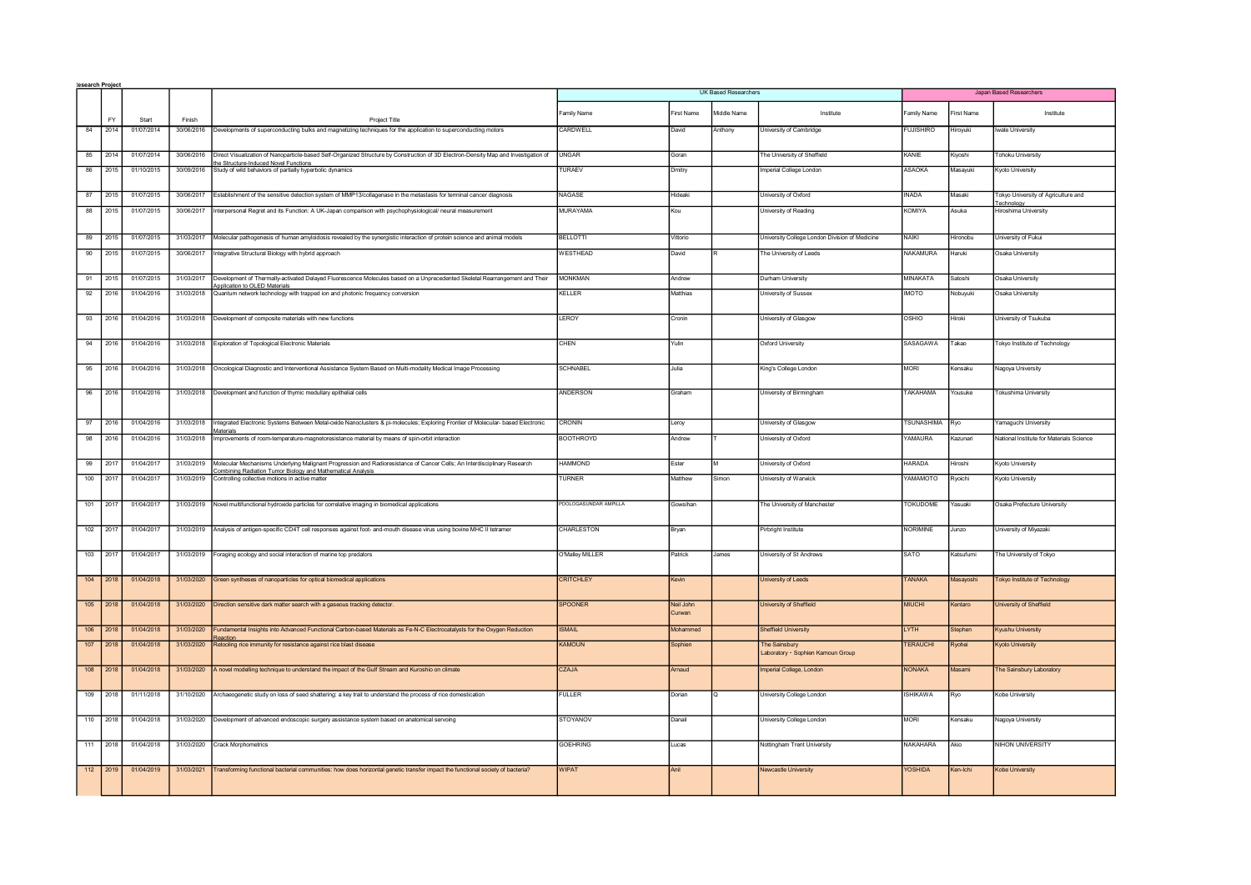|     | esearch Projec |            |            |                                                                                                                                                                              |                             |                     |                     |                                                    |                   |                         |                                          |  |
|-----|----------------|------------|------------|------------------------------------------------------------------------------------------------------------------------------------------------------------------------------|-----------------------------|---------------------|---------------------|----------------------------------------------------|-------------------|-------------------------|------------------------------------------|--|
|     |                |            |            |                                                                                                                                                                              | <b>UK Based Researchers</b> |                     |                     |                                                    |                   | Japan Based Researchers |                                          |  |
|     | <b>FY</b>      | Start      | Finish     | Project Title                                                                                                                                                                | Family Name                 | First Name          | Middle Name         | Institute                                          | amily Name        | <b>First Name</b>       | Institute                                |  |
| 84  | 2014           | 01/07/2014 |            | 30/06/2016 Developments of superconducting bulks and magnetizing techniques for the application to superconducting motors                                                    | CARDWELL                    | David               | Anthony             | University of Cambridge                            | <b>FUJISHIRO</b>  | Hiroyuki                | wate University                          |  |
| 85  | 2014           | 01/07/2014 | 30/06/2016 | Direct Visualization of Nanoparticle-based Self-Organized Structure by Construction of 3D Electron-Density Map and Investigation of<br>the Structure-Induced Novel Functions | <b>UNGAR</b>                | Goran               |                     | The University of Sheffield                        | KANIE             | Kivoshi                 | <b>Tohoku University</b>                 |  |
| 86  | 2015           | 01/10/2015 |            | 30/09/2016 Study of wild behaviors of partially hyperbolic dynamics                                                                                                          | TURAEV                      | Dmitry              |                     | Imperial College London                            | <b>ASAOKA</b>     | Masavuki                | Kyoto University                         |  |
| 87  | 2015           | 01/07/2015 | 30/06/2017 | Establishment of the sensitive detection system of MMP13/collagenase in the metastasis for terminal cancer diagnosis                                                         | NAGASE                      | Hideaki             |                     | University of Oxford                               | <b>INADA</b>      | Masaki                  | Tokyo University of Agriculture and      |  |
| 88  | 2015           | 01/07/2015 | 30/06/2017 | Interpersonal Regret and its Function: A UK-Japan comparison with psychophysiological/ neural measurement                                                                    | MURAYAMA                    | Kou                 |                     | University of Reading                              | <b>KOMIYA</b>     | Asuka                   | Technology<br>Hiroshima University       |  |
| 89  | 2015           | 01/07/2015 |            | 31/03/2017 Molecular pathogenesis of human amyloidosis revealed by the synergistic interaction of protein science and animal models                                          | <b>BELLOTTI</b>             | Vittorio            |                     | University College London Division of Medicine     | <b>NAIKI</b>      | Hironobu                | University of Fukui                      |  |
| 90  | 2015           | 01/07/2015 |            | 30/06/2017 Integrative Structural Biology with hybrid approach                                                                                                               | <b>WESTHEAD</b>             | David               |                     | The University of Leeds                            | <b>NAKAMURA</b>   | Haruki                  | Osaka University                         |  |
|     |                |            |            |                                                                                                                                                                              |                             |                     |                     |                                                    |                   |                         |                                          |  |
| 91  | 2015           | 01/07/2015 | 31/03/2017 | Development of Thermally-activated Delayed Fluorescence Molecules based on a Unprecedented Skeletal Rearrangement and Their<br><b>Noplication to OLED Materials</b>          | <b>MONKMAN</b>              | Andrew              |                     | Durham University                                  | MINAKATA          | Satoshi                 | Osaka Universitv                         |  |
| 92  | 2016           | 01/04/2016 | 31/03/2018 | Quantum network technology with trapped ion and photonic frequency conversion                                                                                                | <b>KELLER</b>               | Matthias            |                     | University of Sussex                               | <b>OTOMI</b>      | Nobuvuki                | Osaka University                         |  |
| 93  | 2016           | 01/04/2016 |            | 31/03/2018 Development of composite materials with new functions                                                                                                             | LEROY                       | Cronin              |                     | University of Glasgow                              | OSHIO             | Hiroki                  | University of Tsukuba                    |  |
| 94  | 2016           | 01/04/2016 |            | 31/03/2018 Exploration of Topological Electronic Materials                                                                                                                   | CHEN                        | Yulin               |                     | Oxford University                                  | SASAGAWA          | Takao                   | Tokyo Institute of Technology            |  |
| 95  | 2016           | 01/04/2016 |            | 31/03/2018 Oncological Diagnostic and Interventional Assistance System Based on Multi-modality Medical Image Processing                                                      | <b>SCHNABEL</b>             | Julia               |                     | King's College London                              | <b>MORI</b>       | Kensaku                 | Nagoya University                        |  |
| 96  | 2016           | 01/04/2016 |            | 31/03/2018 Development and function of thymic medullary epithelial cells                                                                                                     | <b>ANDERSON</b>             | Graham              |                     | University of Birmingham                           | <b>TAKAHAMA</b>   | Yousuke                 | Tokushima University                     |  |
| 97  | 2016           | 01/04/2016 | 31/03/2018 | Integrated Electronic Systems Between Metal-oxide Nanoclusters & pi-molecules; Exploring Frontier of Molecular- based Electronic                                             | <b>CRONIN</b>               | Leroy               |                     | University of Glasgow                              | <b>TSUNASHIMA</b> | Ryo                     | amaguchi University                      |  |
| 98  | 2016           | 01/04/2016 | 31/03/2018 | <b>Aaterials</b><br>Improvements of room-temperature-magnetoresistance material by means of spin-orbit interaction                                                           | <b>BOOTHROYD</b>            | Andrew              |                     | University of Oxford                               | YAMAURA           | Kazunari                | National Institute for Materials Science |  |
| 99  | 2017           | 01/04/2017 | 31/03/2019 | Molecular Mechanisms Underlying Malignant Progression and Radioresistance of Cancer Cells; An Interdisciplinary Research                                                     | <b>HAMMOND</b>              | Ester               |                     | University of Oxford                               | HARADA            | Hiroshi                 | Kyoto University                         |  |
| 100 | 2017           | 01/04/2017 |            | Combining Radiation Tumor Biology and Mathematical Analysis<br>31/03/2019 Controlling collective motions in active matter                                                    | <b>TURNER</b>               | Matthew             | <i><b>Simon</b></i> | University of Warwick                              | <b>OTOMAMO</b>    | Ryoichi                 | Kyoto University                         |  |
| 101 | 2017           | 01/04/2017 |            | 31/03/2019 Novel multifunctional hydroxide particles for correlative imaging in biomedical applications                                                                      | POOLOGASUNDAR AMPILLA       | Gowsihan            |                     | The University of Manchester                       | <b>TOKUDOME</b>   | Yasuaki                 | Osaka Prefecture University              |  |
| 102 | 2017           | 01/04/2017 |            | 31/03/2019 Analysis of antigen-specific CD4T cell responses against foot- and-mouth disease virus using bovine MHC II tetramer                                               | <b>CHARLESTON</b>           | Brvan               |                     | Pirbright Institute                                | <b>NORIMINE</b>   | Junzo                   | University of Miyazaki                   |  |
| 103 | 2017           | 01/04/2017 |            | 31/03/2019 Foraging ecology and social interaction of marine top predators                                                                                                   | O'Malley MILLER             | Patrick             | James               | University of St Andrews                           | SATO              | Katsufumi               | The University of Tokyo                  |  |
| 104 | 2018           | 01/04/2018 | 31/03/2020 | Green syntheses of nanoparticles for optical biomedical applications                                                                                                         | <b>CRITCHLEY</b>            | Kevin               |                     | University of Leeds                                | <b>ANAKA</b>      | Masayoshi               | <b>Tokyo Institute of Technology</b>     |  |
| 105 | 2018           | 01/04/2018 |            | 31/03/2020 Direction sensitive dark matter search with a gaseous tracking detector.                                                                                          | <b>SPOONER</b>              | Neil John<br>Curwen |                     | University of Sheffield                            | <b>MIUCHI</b>     | Kentaro                 | University of Sheffield                  |  |
| 106 | 2018           | 01/04/2018 | 31/03/2020 | Fundamental Insights into Advanced Functional Carbon-based Materials as Fe-N-C Electrocatalysts for the Oxygen Reduction                                                     | <b>ISMAIL</b>               | Mohammed            |                     | <b>Sheffield University</b>                        | <b>HTY.</b>       | Stephen                 | Kyushu University                        |  |
| 107 | 2018           | 01/04/2018 | 31/03/2020 | Reaction<br>Retooling rice immunity for resistance against rice blast disease                                                                                                | <b>KAMOUN</b>               | Sophien             |                     | The Sainsbury<br>Laboratory · Sophien Kamoun Group | <b>ERAUCHI</b>    | Rvohei                  | <b>Kyoto University</b>                  |  |
| 108 | 2018           | 01/04/2018 |            | 31/03/2020 A novel modelling technique to understand the impact of the Gulf Stream and Kuroshio on climate                                                                   | <b>CZAJA</b>                | Arnaud              |                     | Imperial College, London                           | <b>NONAKA</b>     | Masami                  | The Sainsbury Laboratory                 |  |
| 109 | 2018           | 01/11/2018 |            | 31/10/2020 Archaeogenetic study on loss of seed shattering: a key trait to understand the process of rice domestication                                                      | <b>FULLER</b>               | Dorian              |                     | University College London                          | SHIKAWA           | Ryo                     | Kobe University                          |  |
| 110 | 2018           | 01/04/2018 |            | 31/03/2020 Development of advanced endoscopic surgery assistance system based on anatomical servoing                                                                         | <b>STOYANOV</b>             | Danail              |                     | University College London                          | <b>MORI</b>       | Kensaku                 | Nagoya University                        |  |
| 111 | 2018           | 01/04/2018 |            | 31/03/2020 Crack Morphometrics                                                                                                                                               | <b>GOEHRING</b>             | Lucas               |                     | Nottingham Trent University                        | NAKAHARA          | Akio                    | NIHON UNIVERSITY                         |  |
|     | 112 2019       | 01/04/2019 |            | 31/03/2021 Transforming functional bacterial communities: how does horizontal genetic transfer impact the functional society of bacteria?                                    | <b>WIPAT</b>                | Anil                |                     | Newcastle University                               | <b>YOSHIDA</b>    | Ken-Ichi                | <b>Kobe University</b>                   |  |